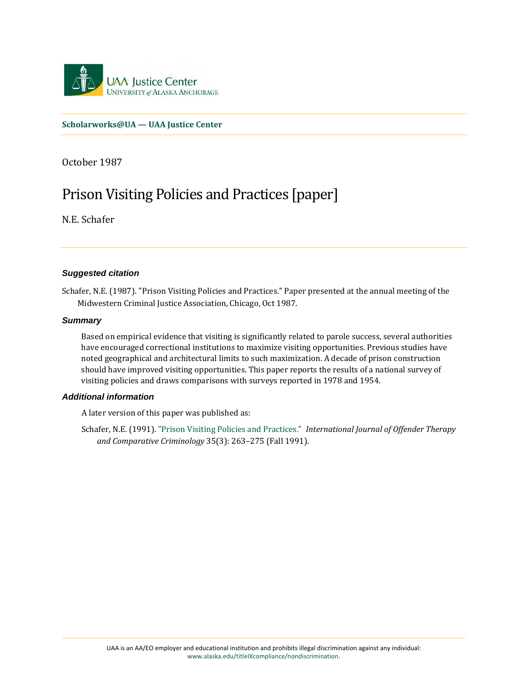

**[Scholarworks@UA — UAA Justice Center](https://scholarworks.alaska.edu/handle/11122/2255)**

October 1987

# Prison Visiting Policies and Practices [paper]

N.E. Schafer

#### *Suggested citation*

Schafer, N.E. (1987). "Prison Visiting Policies and Practices." Paper presented at the annual meeting of the Midwestern Criminal Justice Association, Chicago, Oct 1987.

#### *Summary*

Based on empirical evidence that visiting is significantly related to parole success, several authorities have encouraged correctional institutions to maximize visiting opportunities. Previous studies have noted geographical and architectural limits to such maximization. A decade of prison construction should have improved visiting opportunities. This paper reports the results of a national survey of visiting policies and draws comparisons with surveys reported in 1978 and 1954.

#### *Additional information*

A later version of this paper was published as:

Schafer, N.E. (1991)[. "Prison Visiting Policies and Practices."](http://dx.doi.org/10.1177/0306624X9103500308) *International Journal of Offender Therapy and Comparative Criminology* 35(3): 263–275 (Fall 1991).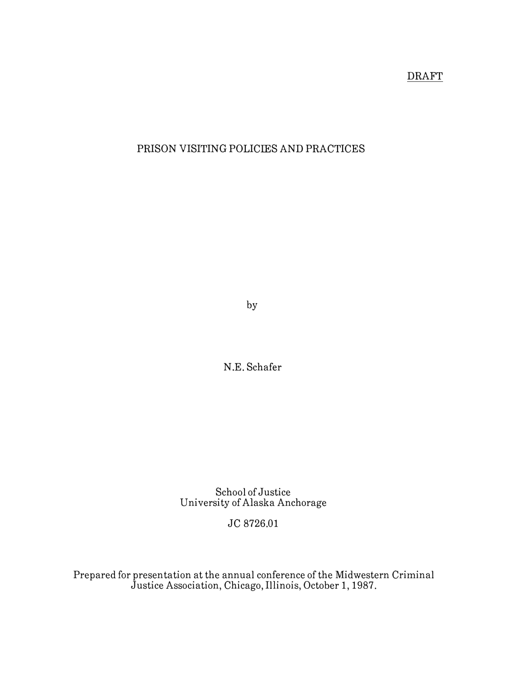# DRAFT

# PRISON VISITING POLICIES AND PRACTICES

by

N.E. Schafer

School of Justice University of Alaska Anchorage

# JC 8726.01

Prepared for presentation at the annual conference of the Midwestern Criminal Justice Association, Chicago, Illinois, October 1, 1987.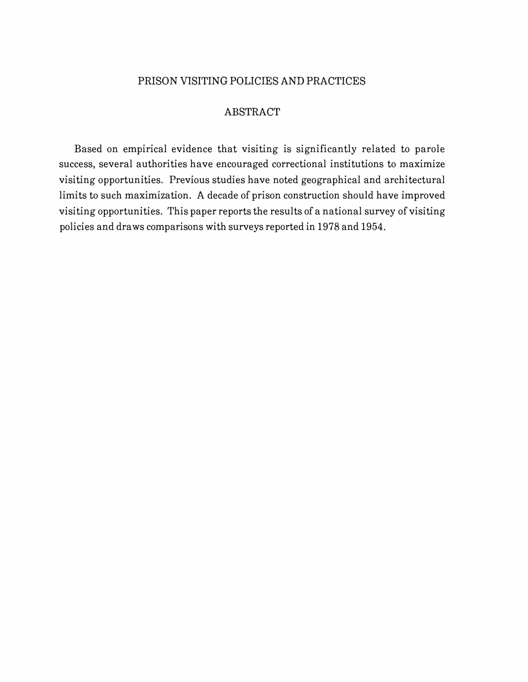# PRISON VISITING POLICIES AND PRACTICES

#### ABSTRACT

Based on empirical evidence that visiting is significantly related to parole success, several authorities have encouraged correctional institutions to maximize visiting opportunities. Previous studies have noted geographical and architectural limits to such maximization. A decade of prison construction should have improved visiting opportunities. This paper reports the results of a national survey of visiting policies and draws comparisons with surveys reported in 1978 and 1954.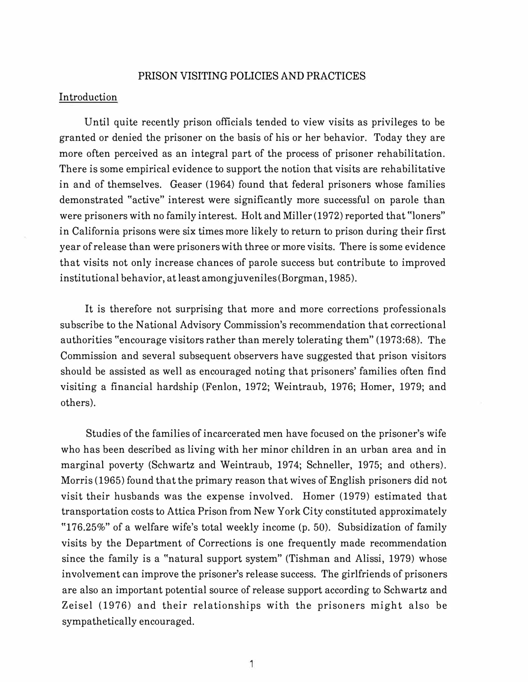#### PRISON VISITING POLICIES AND PRACTICES

# Introduction

Until quite recently prison officials tended to view visits as privileges to be granted or denied the prisoner on the basis of his or her behavior. Today they are more often perceived as an integral part of the process of prisoner rehabilitation. There is some empirical evidence to support the notion that visits are rehabilitative in and of themselves. Geaser (1964) found that federal prisoners whose families demonstrated "active" interest were significantly more successful on parole than were prisoners with no family interest. Holt and Miller (1972) reported that "loners" in California prisons were six times more likely to return to prison during their first year of release than were prisoners with three or more visits. There is some evidence that visits not only increase chances of parole success but contribute to improved institutional behavior, at least among juveniles (Borgman, 1985).

It is therefore not surprising that more and more corrections professionals subscribe to the National Advisory Commission's recommendation that correctional authorities "encourage visitors rather than merely tolerating them" (1973:68). The Commission and several subsequent observers have suggested that prison visitors should be assisted as well as encouraged noting that prisoners' families often find visiting a financial hardship (Fenlon, 1972; Weintraub, 1976; Homer, 1979; and others).

Studies of the families of incarcerated men have focused on the prisoner's wife who has been described as living with her minor children in an urban area and in marginal poverty (Schwartz and Weintraub, 1974; Schneller, 1975; and others). Morris (1965) found that the primary reason that wives of English prisoners did not visit their husbands was the expense involved. Homer (1979) estimated that transportation costs to Attica Prison from New York City constituted approximately "l 76.25%" of a welfare wife's total weekly income (p. 50). Subsidization of family visits by the Department of Corrections is one frequently made recommendation since the family is a "natural support system" (Tishman and Alissi, 1979) whose involvement can improve the prisoner's release success. The girlfriends of prisoners are also an important potential source of release support according to Schwartz and Zeisel (1976) and their relationships with the prisoners might also be sympathetically encouraged.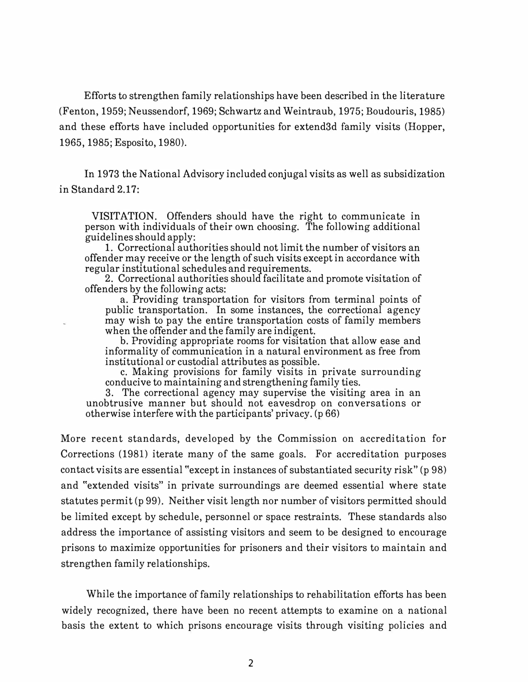Efforts to strengthen family relationships have been described in the literature (Fenton, 1959; Neussendorf, 1969; Schwartz and Weintraub, 1975; Boudouris, 1985) and these efforts have included opportunities for extend3d family visits (Hopper, 1965, 1985; Esposito, 1980).

In 1973 the National Advisory included conjugal visits as well as subsidization in Standard 2.17:

VISITATION. Offenders should have the right to communicate in person with individuals of their own choosing. The following additional guidelines should apply:

1. Correctional authorities should not limit the number of visitors an offender may receive or the length of such visits except in accordance with regular institutional schedules and requirements.

2. Correctional authorities should facilitate and promote visitation of offenders by the following acts:

a. Providing transportation for visitors from terminal points of public transportation. In some instances, the correctional agency may wish to pay the entire transportation costs of family members when the offender and the family are indigent.

b. Providing appropriate rooms for visitation that allow ease and informality of communication in a natural environment as free from institutional or custodial attributes as possible.

c. Making provisions for family visits in private surrounding conducive to maintaining and strengthening family ties.

3. The correctional agency may supervise the visiting area in an unobtrusive manner but should not eavesdrop on conversations or otherwise interfere with the participants' privacy. (p 66)

More recent standards, developed by the Commission on accreditation for Corrections (1981) iterate many of the same goals. For accreditation purposes contact visits are essential "except in instances of substantiated security risk" (p 98) and "extended visits" in private surroundings are deemed essential where state statutes permit (p 99). Neither visit length nor number of visitors permitted should be limited except by schedule, personnel or space restraints. These standards also address the importance of assisting visitors and seem to be designed to encourage prisons to maximize opportunities for prisoners and their visitors to maintain and strengthen family relationships.

While the importance of family relationships to rehabilitation efforts has been widely recognized, there have been no recent attempts to examine on a national basis the extent to which prisons encourage visits through visiting policies and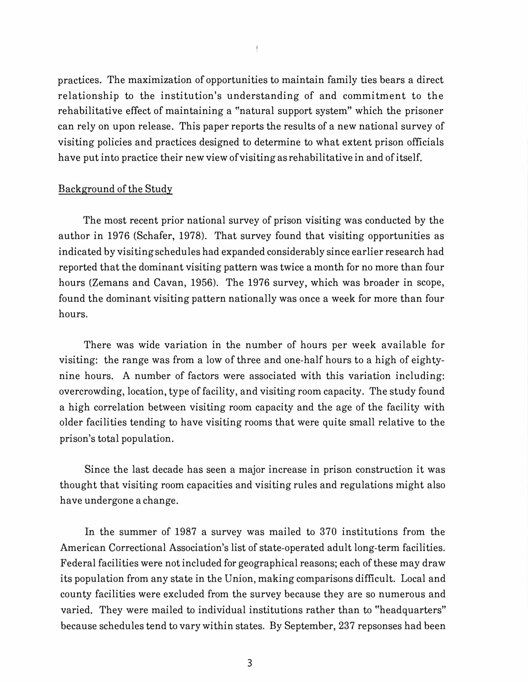practices. The maximization of opportunities to maintain family ties bears a direct relationship to the institution's understanding of and commitment to the rehabilitative effect of maintaining a "natural support system" which the prisoner can rely on upon release. This paper reports the results of a new national survey of visiting policies and practices designed to determine to what extent prison officials have put into practice their new view of visiting as rehabilitative in and of itself.

### Background of the Study

The most recent prior national survey of prison visiting was conducted by the author in 1976 (Schafer, 1978). That survey found that visiting opportunities as indicated by visiting schedules had expanded considerably since earlier research had reported that the dominant visiting pattern was twice a month for no more than four hours (Zemans and Cavan, 1956). The 1976 survey, which was broader in scope, found the dominant visiting pattern nationally was once a week for more than four hours.

There was wide variation in the number of hours per week available for visiting: the range was from a low of three and one-half hours to a high of eightynine hours. A number of factors were associated with this variation including: overcrowding, location, type of facility, and visiting room capacity. The study found a high correlation between visiting room capacity and the age of the facility with older facilities tending to have visiting rooms that were quite small relative to the prison's total population.

Since the last decade has seen a major increase in prison construction it was thought that visiting room capacities and visiting rules and regulations might also have undergone a change.

In the summer of 1987 a survey was mailed to 370 institutions from the American Correctional Association's list of state-operated adult long-term facilities. Federal facilities were not included for geographical reasons; each of these may draw its population from any state in the Union, making comparisons difficult. Local and county facilities were excluded from the survey because they are so numerous and varied. They were mailed to individual institutions rather than to "headquarters" because schedules tend to vary within states. By September, 237 repsonses had been

ţ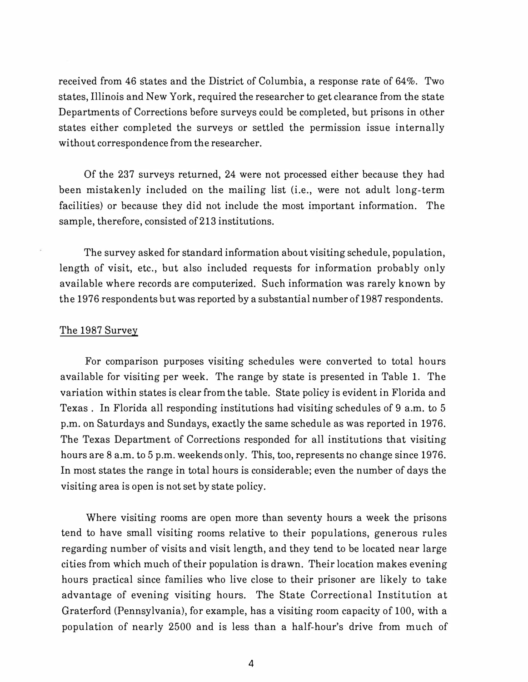received from 46 states and the District of Columbia, a response rate of 64%. Two states, Illinois and New York, required the researcher to get clearance from the state Departments of Corrections before surveys could be completed, but prisons in other states either completed the surveys or settled the permission issue internally without correspondence from the researcher.

Of the 237 surveys returned, 24 were not processed either because they had been mistakenly included on the mailing list (i.e., were not adult long-term facilities) or because they did not include the most important information. The sample, therefore, consisted of 213 institutions.

The survey asked for standard information about visiting schedule, population, length of visit, etc., but also included requests for information probably only available where records are computerized. Such information was rarely known by the 1976 respondents but was reported by a substantial number of 1987 respondents.

#### The 1987 Survey

For comparison purposes visiting schedules were converted to total hours available for visiting per week. The range by state is presented in Table 1. The variation within states is clear from the table. State policy is evident in Florida and Texas . In Florida all responding institutions had visiting schedules of 9 a.m. to 5 p.m. on Saturdays and Sundays, exactly the same schedule as was reported in 1976. The Texas Department of Corrections responded for all institutions that visiting hours are 8 a.m. to 5 p.m. weekends only. This, too, represents no change since 1976. In most states the range in total hours is considerable; even the number of days the visiting area is open is not set by state policy.

Where visiting rooms are open more than seventy hours a week the prisons tend to have small visiting rooms relative to their populations, generous rules regarding number of visits and visit length, and they tend to be located near large cities from which much of their population is drawn. Their location makes evening hours practical since families who live close to their prisoner are likely to take advantage of evening visiting hours. The State Correctional Institution at Graterford (Pennsylvania), for example, has a visiting room capacity of 100, with a population of nearly 2500 and is less than a half-hour's drive from much of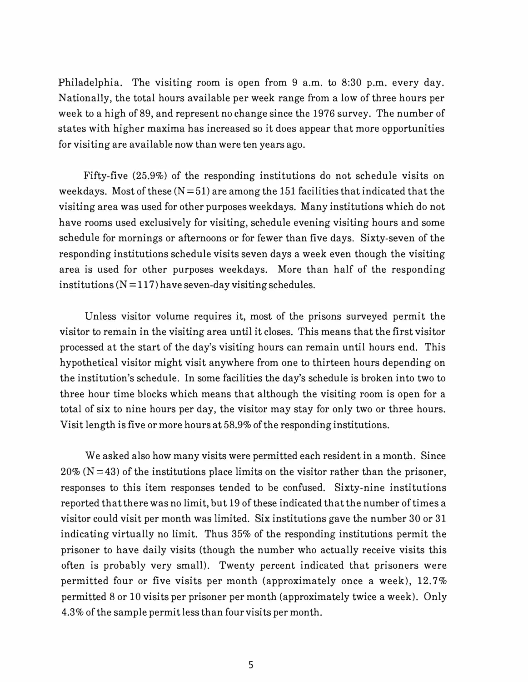Philadelphia. The visiting room is open from 9 a.m. to 8:30 p.m. every day. Nationally, the total hours available per week range from a low of three hours per week to a high of 89, and represent no change since the 1976 survey. The number of states with higher maxima has increased so it does appear that more opportunities for visiting are available now than were ten years ago.

Fifty-five (25.9%) of the responding institutions do not schedule visits on weekdays. Most of these  $(N=51)$  are among the 151 facilities that indicated that the visiting area was used for other purposes weekdays. Many institutions which do not have rooms used exclusively for visiting, schedule evening visiting hours and some schedule for mornings or afternoons or for fewer than five days. Sixty-seven of the responding institutions schedule visits seven days a week even though the visiting area is used for other purposes weekdays. More than half of the responding institutions  $(N=117)$  have seven-day visiting schedules.

Unless visitor volume requires it, most of the prisons surveyed permit the visitor to remain in the visiting area until it closes. This means that the first visitor processed at the start of the day's visiting hours can remain until hours end. This hypothetical visitor might visit anywhere from one to thirteen hours depending on the institution's schedule. In some facilities the day's schedule is broken into two to three hour time blocks which means that although the visiting room is open for a total of six to nine hours per day, the visitor may stay for only two or three hours. Visit length is five or more hours at 58.9% of the responding institutions.

We asked also how many visits were permitted each resident in a month. Since  $20\%$  (N=43) of the institutions place limits on the visitor rather than the prisoner, responses to this item responses tended to be confused. Sixty-nine institutions reported that there was no limit, but 19 of these indicated that the number of times a visitor could visit per month was limited. Six institutions gave the number 30 or 31 indicating virtually no limit. Thus 35% of the responding institutions permit the prisoner to have daily visits (though the number who actually receive visits this often is probably very small). Twenty percent indicated that prisoners were permitted four or five visits per month (approximately once a week),  $12.7\%$ permitted 8 or 10 visits per prisoner per month (approximately twice a week). Only 4.3% of the sample permit less than four visits per month.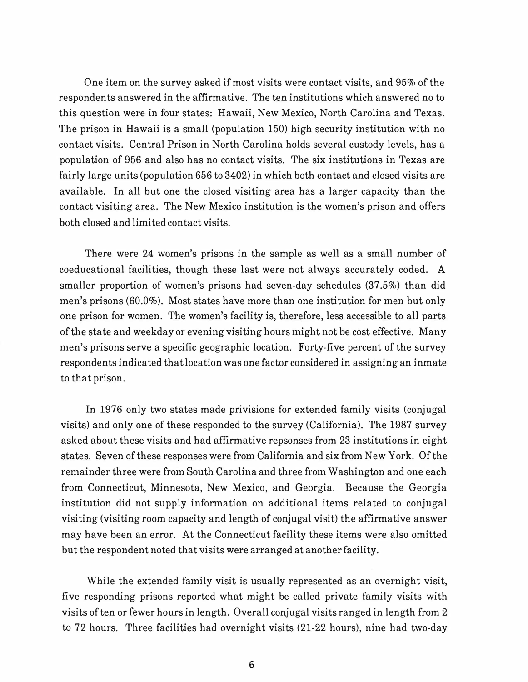One item on the survey asked if most visits were contact visits, and 95% of the respondents answered in the affirmative. The ten institutions which answered no to this question were in four states: Hawaii, New Mexico, North Carolina and Texas. The prison in Hawaii is a small (population 150) high security institution with no contact visits. Central Prison in North Carolina holds several custody levels, has a population of 956 and also has no contact visits. The six institutions in Texas are fairly large units (population 656 to 3402) in which both contact and closed visits are available. In all but one the closed visiting area has a larger capacity than the contact visiting area. The New Mexico institution is the women's prison and offers both closed and limited contact visits.

There were 24 women's prisons in the sample as well as a small number of coeducational facilities, though these last were not always accurately coded. A smaller proportion of women's prisons had seven-day schedules (37.5%) than did men's prisons (60.0%). Most states have more than one institution for men but only one prison for women. The women's facility is, therefore, less accessible to all parts of the state and weekday or evening visiting hours might not be cost effective. Many men's prisons serve a specific geographic location. Forty-five percent of the survey respondents indicated that location was one factor considered in assigning an inmate to that prison.

In 1976 only two states made privisions for extended family visits (conjugal visits) and only one of these responded to the survey (California). The 1987 survey asked about these visits and had affirmative repsonses from 23 institutions in eight states. Seven of these responses were from California and six from New York. Of the remainder three were from South Carolina and three from Washington and one each from Connecticut, Minnesota, New Mexico, and Georgia. Because the Georgia institution did not supply information on additional items related to conjugal visiting (visiting room capacity and length of conjugal visit) the affirmative answer may have been an error. At the Connecticut facility these items were also omitted but the respondent noted that visits were arranged at another facility.

While the extended family visit is usually represented as an overnight visit, five responding prisons reported what might be called private family visits with visits of ten or fewer hours in length. Overall conjugal visits ranged in length from 2 to 72 hours. Three facilities had overnight visits (21-22 hours), nine had two-day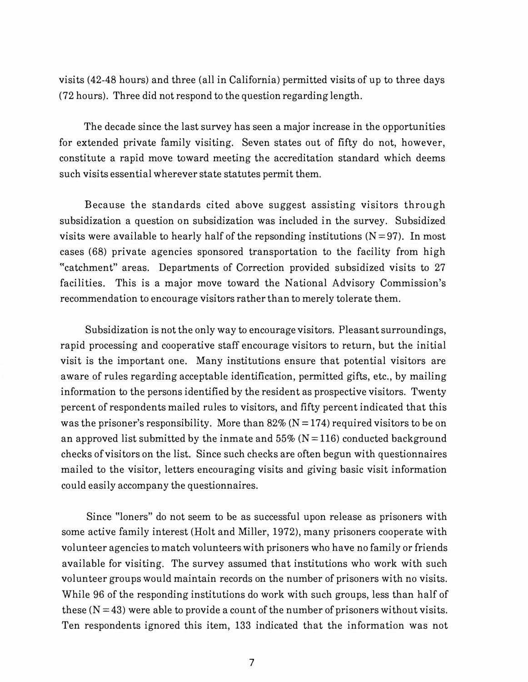visits (42-48 hours) and three (all in California) permitted visits of up to three days (72 hours). Three did not respond to the question regarding length.

The decade since the last survey has seen a major increase in the opportunities for extended private family visiting. Seven states out of fifty do not, however, constitute a rapid move toward meeting the accreditation standard which deems such visits essential wherever state statutes permit them.

Because the standards cited above suggest assisting visitors through subsidization a question on subsidization was included in the survey. Subsidized visits were available to hearly half of the repsonding institutions  $(N=97)$ . In most cases (68) private agencies sponsored transportation to the facility from high "catchment" areas. Departments of Correction provided subsidized visits to 27 facilities. This is a major move toward the National Advisory Commission's recommendation to encourage visitors rather than to merely tolerate them.

Subsidization is not the only way to encourage visitors. Pleasant surroundings, rapid processing and cooperative staff encourage visitors to return, but the initial visit is the important one. Many institutions ensure that potential visitors are aware of rules regarding acceptable identification, permitted gifts, etc., by mailing information to the persons identified by the resident as prospective visitors. Twenty percent of respondents mailed rules to visitors, and fifty percent indicated that this was the prisoner's responsibility. More than  $82\%$  (N = 174) required visitors to be on an approved list submitted by the inmate and  $55\%$  (N = 116) conducted background checks of visitors on the list. Since such checks are often begun with questionnaires mailed to the visitor, letters encouraging visits and giving basic visit information could easily accompany the questionnaires.

Since «loners" do not seem to be as successful upon release as prisoners with some active family interest (Holt and Miller, 1972), many prisoners cooperate with volunteer agencies to match volunteers with prisoners who have no family or friends available for visiting. The survey assumed that institutions who work with such volunteer groups would maintain records on the number of prisoners with no visits. While 96 of the responding institutions do work with such groups, less than half of these  $(N = 43)$  were able to provide a count of the number of prisoners without visits. Ten respondents ignored this item, 133 indicated that the information was not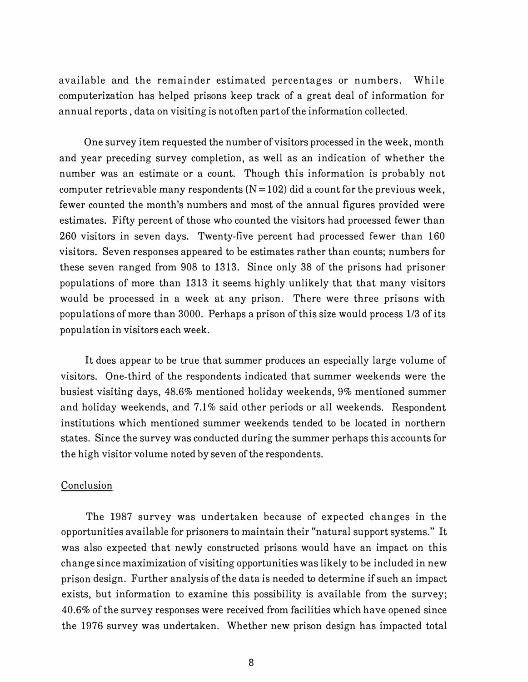available and the remainder estimated percentages or numbers. While computerization has helped prisons keep track of a great deal of information for annual reports , data on visiting is not often part of the information collected.

One survey item requested the number of visitors processed in the week, month and year preceding survey completion, as well as an indication of whether the number was an estimate or a count. Though this information is probably not computer retrievable many respondents  $(N=102)$  did a count for the previous week, fewer counted the month's numbers and most of the annual figures provided were estimates. Fifty percent of those who counted the visitors had processed fewer than 260 visitors in seven days. Twenty-five percent had processed fewer than 160 visitors. Seven responses appeared to be estimates rather than counts; numbers for these seven ranged from 908 to 1313. Since only 38 of the prisons had prisoner populations of more than 1313 it seems highly unlikely that that many visitors would be processed in a week at any prison. There were three prisons with populations of more than 3000. Perhaps a prison of this size would process 1/3 of its population in visitors each week.

It does appear to be true that summer produces an especially large volume of visitors. One-third of the respondents indicated that summer weekends were the busiest visiting days, 48.6% mentioned holiday weekends, 9% mentioned summer and holiday weekends, and 7.1% said other periods or all weekends. Respondent institutions which mentioned summer weekends tended to be located in northern states. Since the survey was conducted during the summer perhaps this accounts for the high visitor volume noted by seven of the respondents.

## Conclusion

The 1987 survey was undertaken because of expected changes in the opportunities available for prisoners to maintain their "natural support systems." It was also expected that newly constructed prisons would have an impact on this change since maximization of visiting opportunities was likely to be included in new prison design. Further analysis of the data is needed to determine if such an impact exists, but information to examine this possibility is available from the survey; 40.6% of the survey responses were received from facilities which have opened since the 1976 survey was undertaken. Whether new prison design has impacted total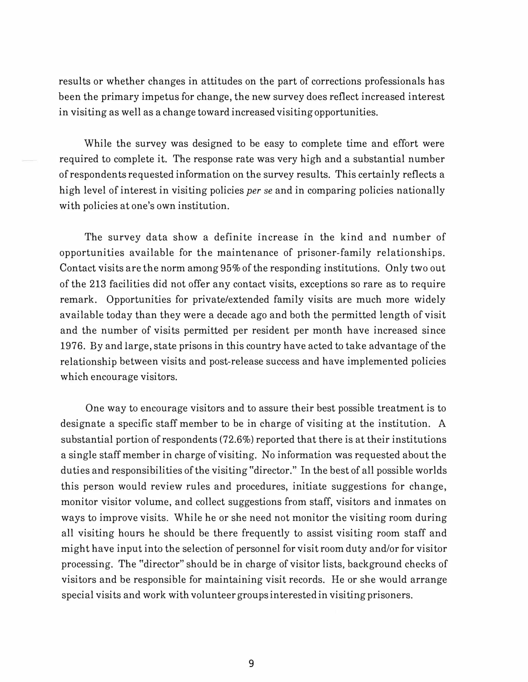results or whether changes in attitudes on the part of corrections professionals has been the primary impetus for change, the new survey does reflect increased interest in visiting as well as a change toward increased visiting opportunities.

While the survey was designed to be easy to complete time and effort were required to complete it. The response rate was very high and a substantial number of respondents requested information on the survey results. This certainly reflects a high level of interest in visiting policies *per se* and in comparing policies nationally with policies at one's own institution.

The survey data show a definite increase in the kind and number of opportunities available for the maintenance of prisoner-family relationships. Contact visits are the norm among 95% of the responding institutions. Only two out of the 213 facilities did not offer any contact visits, exceptions so rare as to require remark. Opportunities for private/extended family visits are much more widely available today than they were a decade ago and both the permitted length of visit and the number of visits permitted per resident per month have increased since 1976. By and large, state prisons in this country have acted to take advantage of the relationship between visits and post-release success and have implemented policies which encourage visitors.

One way to encourage visitors and to assure their best possible treatment is to designate a specific staff member to be in charge of visiting at the institution. A substantial portion of respondents (72.6%) reported that there is at their institutions a single staff member in charge of visiting. No information was requested about the duties and responsibilities of the visiting "director." In the best of all possible worlds this person would review rules and procedures, initiate suggestions for change, monitor visitor volume, and collect suggestions from staff, visitors and inmates on ways to improve visits. While he or she need not monitor the visiting room during all visiting hours he should be there frequently to assist visiting room staff and might have input into the selection of personnel for visit room duty and/or for visitor processing. The "director" should be in charge of visitor lists, background checks of visitors and be responsible for maintaining visit records. He or she would arrange special visits and work with volunteer groups interested in visiting prisoners.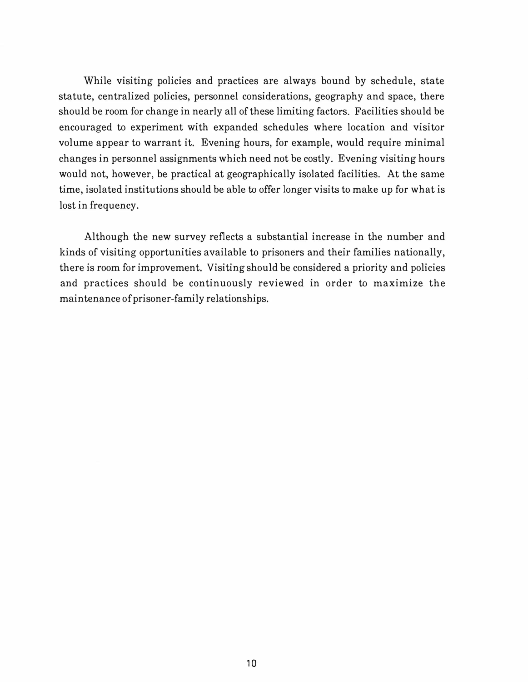While visiting policies and practices are always bound by schedule, state statute, centralized policies, personnel considerations, geography and space, there should be room for change in nearly all of these limiting factors. Facilities should be encouraged to experiment with expanded schedules where location and visitor volume appear to warrant it. Evening hours, for example, would require minimal changes in personnel assignments which need not be costly. Evening visiting hours would not, however, be practical at geographically isolated facilities. At the same time, isolated institutions should be able to offer longer visits to make up for what is lost in frequency.

Although the new survey reflects a substantial increase in the number and kinds of visiting opportunities available to prisoners and their families nationally, there is room for improvement. Visiting should be considered a priority and policies and practices should be continuously reviewed in order to maximize the maintenance of prisoner-family relationships.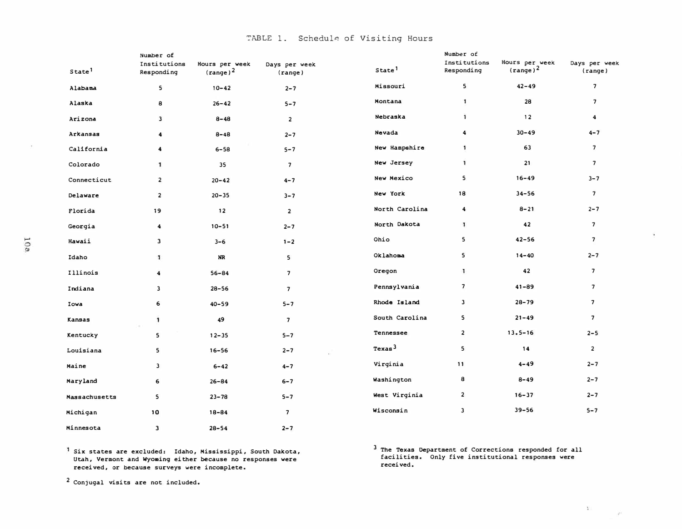f-'

| State <sup>1</sup> | Number of<br>Institutions<br>Responding | Hours per week<br>(range) <sup>2</sup> | Days per week<br>(range) | State <sup>1</sup> | Number of<br>Institutions<br>Responding | Hours per week<br>$(\text{range})^2$ | Days per week<br>$(\text{range})$ |
|--------------------|-----------------------------------------|----------------------------------------|--------------------------|--------------------|-----------------------------------------|--------------------------------------|-----------------------------------|
| Alabama            | 5                                       | $10 - 42$                              | $2 - 7$                  | Missouri           | 5                                       | $42 - 49$                            | $\overline{\phantom{a}}$          |
| Alaska             | 8                                       | $26 - 42$                              | $5 - 7$                  | Montana            | 1                                       | 28                                   | $\overline{\phantom{a}}$          |
| Arizona            | $\overline{\mathbf{3}}$                 | $8 - 48$                               | $\overline{2}$           | Nebraska           | 1                                       | 12                                   | $\blacktriangleleft$              |
| Arkansas           | $\ddot{\phantom{a}}$                    | $8 - 48$                               | $2 - 7$                  | Nevada             | 4                                       | $30 - 49$                            | $4 - 7$                           |
| California         | 4                                       | $6 - 58$                               | $5 - 7$                  | New Hampshire      | $\mathbf{1}$                            | 63                                   | $\overline{7}$                    |
| Colorado           | 1                                       | 35                                     | $\overline{\phantom{a}}$ | New Jersey         | $\mathbf{I}$                            | 21                                   | $\overline{7}$                    |
| Connecticut        | $\overline{\mathbf{2}}$                 | $20 - 42$                              | $4 - 7$                  | New Mexico         | 5                                       | $16 - 49$                            | $3 - 7$                           |
| Delaware           | $\overline{\mathbf{2}}$                 | $20 - 35$                              | $3 - 7$                  | New York           | 18                                      | $34 - 56$                            | $\overline{7}$                    |
| Florida            | 19                                      | 12                                     | $\overline{\mathbf{c}}$  | North Carolina     | $\ddot{\mathbf{4}}$                     | $8 - 21$                             | $2 - 7$                           |
| Georgia            | $\blacktriangleleft$                    | $10 - 51$                              | $2 - 7$                  | North Dakota       | $\mathbf{1}$                            | 42                                   | $\overline{\phantom{a}}$          |
| Hawaii             | 3                                       | $3 - 6$                                | $1 - 2$                  | Ohio               | 5                                       | $42 - 56$                            | $\overline{7}$                    |
| Idaho              | $\mathbf{1}$                            | NR                                     | 5                        | Oklahoma           | 5                                       | $14 - 40$                            | $2 - 7$                           |
| Illinois           | $\blacktriangleleft$                    | $56 - 84$                              | $\overline{\phantom{a}}$ | Oregon             | 1                                       | 42                                   | $\overline{7}$                    |
| Indiana            | 3                                       | $28 - 56$                              | $\overline{\phantom{a}}$ | Pennsylvania       | $\overline{\phantom{a}}$                | $41 - 89$                            | $\overline{\phantom{a}}$          |
| Iowa               | 6                                       | $40 - 59$                              | $5 - 7$                  | Rhode Island       | 3                                       | $28 - 79$                            | $\overline{7}$                    |
| Kansas             | 1                                       | 49                                     | $\overline{\mathbf{z}}$  | South Carolina     | 5                                       | $21 - 49$                            | $\overline{\phantom{a}}$          |
| Kentucky           | 5                                       | $12 - 35$                              | $5 - 7$                  | Tennessee          | $\overline{\mathbf{2}}$                 | $13.5 - 16$                          | $2 - 5$                           |
| Louisiana          | 5                                       | $16 - 56$                              | $2 - 7$                  | Texas <sup>3</sup> | 5                                       | 14                                   | $\overline{2}$                    |
| Maine              | 3                                       | $6 - 42$                               | $4 - 7$                  | Virginia           | 11                                      | $4 - 49$                             | $2 - 7$                           |
| Maryland           | 6                                       | $26 - 84$                              | $6 - 7$                  | Washington         | 8                                       | $8 - 49$                             | $2 - 7$                           |
| Massachusetts      | 5                                       | $23 - 78$                              | $5 - 7$                  | West Virginia      | $\overline{\mathbf{2}}$                 | $16 - 37$                            | $2 - 7$                           |
| Michigan           | 10                                      | $18 - 84$                              | $\overline{\phantom{a}}$ | Wisconsin          | 3                                       | $39 - 56$                            | $5 - 7$                           |
| Minnesota          | 3                                       | $28 - 54$                              | $2 - 7$                  |                    |                                         |                                      |                                   |

Six states are excluded: Idaho, Mississippi, South Dakota, Utah, Vermont and **Wyoming** either because no responses **were**  received, or because surveys were incomplete.

<sup>3</sup>The **Texas** Department of Corrections responded for all facilities. Only five institutional responses were received.

 $\chi$ 

TABLE 1. Schedule of Visiting Hours

2 Conjugal visits are not included.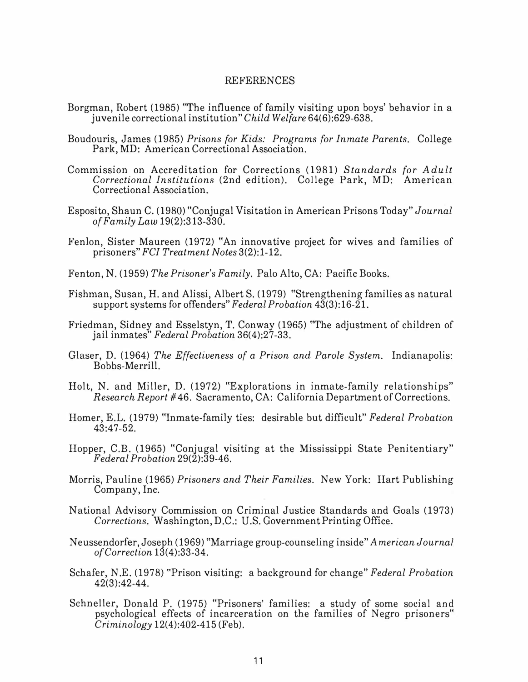#### REFERENCES

- Borgman, Robert (1985) "The influence of family visiting upon boys' behavior in a juvenile correctional institution" *Child Welfare* 64(6):629-638.
- Boudouris, James (1985) *Prisons for Kids: Programs for Inmate Parents.* College Park, MD: American Correctional Association.
- Commission on Accreditation for Corrections (1981) *Standards for Adult Correctional Institutions* (2nd edition). College Park, MD: American Correctional Association.
- Esposito, Shaun C. (1980) "Conjugal Visitation in American Prisons Today" *Journal of Family Law* 19(2):313-330.
- Fenlon, Sister Maureen (1972) "An innovative project for wives and families of prisoners" *FCI Treatment Notes* 3(2):1-12.
- Fenton, N. (1959) *The Prisoner's Family.* Palo Alto, CA: Pacific Books.
- Fishman, Susan, H. and Alissi, Albert S. (1979) "Strengthening families as natural support systems for offenders" *Federal Probation* 43(3):16-21.
- Friedman, Sidney and Esselstyn, T. Conway (1965) "The adjustment of children of jail inmates" *Federal Probation* 36(4):27-33.
- Glaser, D. (1964) *The Effectiveness of a Prison and Parole System.* Indianapolis: Bobbs-Merrill.
- Holt, N. and Miller, D. (1972) "Explorations in inmate-family relationships" *Research Report* #46. Sacramento, CA: California Department of Corrections.
- Homer, E.L. (1979) "Inmate-family ties: desirable but difficult" *Federal Probation*  43:47-52.
- Hopper, C.B. (1965) "Conjugal visiting at the Mississippi State Penitentiary" *Federal Probation* 29(2):39-46.
- Morris, Pauline (1965) *Prisoners and Their Families.* New York: Hart Publishing Company, Inc.
- National Advisory Commission on Criminal Justice Standards and Goals (1973) *Corrections.* Washington, D.C.: U.S. Government Printing Office.
- Neussendorfer, Joseph (1969) "Marriage group-counseling inside" *American Journal of Correction* 13(4):33-34.
- Schafer, N.E. (1978) "Prison visiting: a background for change" *Federal Probation*  42(3):42-44.
- Schneller, Donald P. (1975) "Prisoners' families: a study of some social and psychological effects of incarceration on the families of Negro prisoners" *Criminology* 12(4):402-415 (Feb).